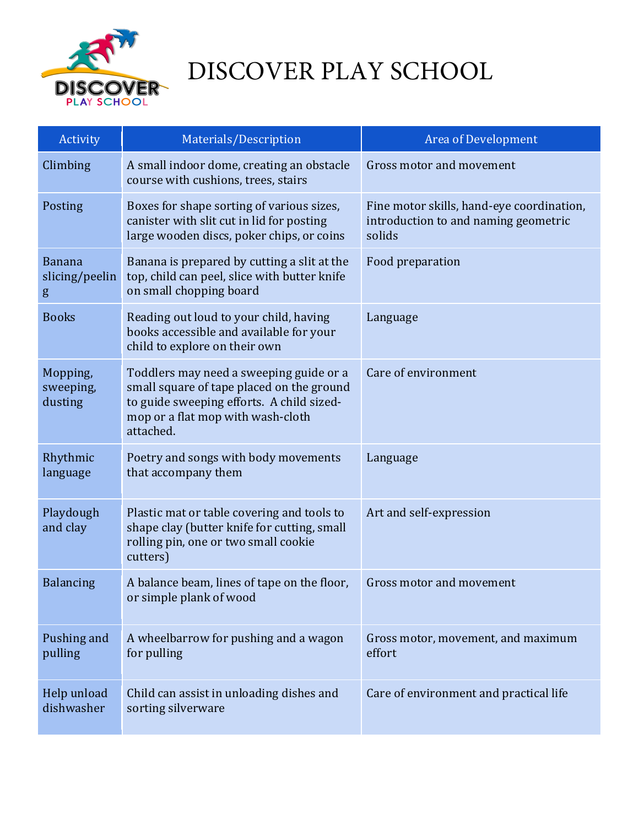

## DISCOVER PLAY SCHOOL

| Activity                             | Materials/Description                                                                                                                                                               | Area of Development                                                                         |
|--------------------------------------|-------------------------------------------------------------------------------------------------------------------------------------------------------------------------------------|---------------------------------------------------------------------------------------------|
| Climbing                             | A small indoor dome, creating an obstacle<br>course with cushions, trees, stairs                                                                                                    | Gross motor and movement                                                                    |
| Posting                              | Boxes for shape sorting of various sizes,<br>canister with slit cut in lid for posting<br>large wooden discs, poker chips, or coins                                                 | Fine motor skills, hand-eye coordination,<br>introduction to and naming geometric<br>solids |
| <b>Banana</b><br>slicing/peelin<br>g | Banana is prepared by cutting a slit at the<br>top, child can peel, slice with butter knife<br>on small chopping board                                                              | Food preparation                                                                            |
| <b>Books</b>                         | Reading out loud to your child, having<br>books accessible and available for your<br>child to explore on their own                                                                  | Language                                                                                    |
| Mopping,<br>sweeping,<br>dusting     | Toddlers may need a sweeping guide or a<br>small square of tape placed on the ground<br>to guide sweeping efforts. A child sized-<br>mop or a flat mop with wash-cloth<br>attached. | Care of environment                                                                         |
| Rhythmic<br>language                 | Poetry and songs with body movements<br>that accompany them                                                                                                                         | Language                                                                                    |
| Playdough<br>and clay                | Plastic mat or table covering and tools to<br>shape clay (butter knife for cutting, small<br>rolling pin, one or two small cookie<br>cutters)                                       | Art and self-expression                                                                     |
| <b>Balancing</b>                     | A balance beam, lines of tape on the floor,<br>or simple plank of wood                                                                                                              | Gross motor and movement                                                                    |
| Pushing and<br>pulling               | A wheelbarrow for pushing and a wagon<br>for pulling                                                                                                                                | Gross motor, movement, and maximum<br>effort                                                |
| Help unload<br>dishwasher            | Child can assist in unloading dishes and<br>sorting silverware                                                                                                                      | Care of environment and practical life                                                      |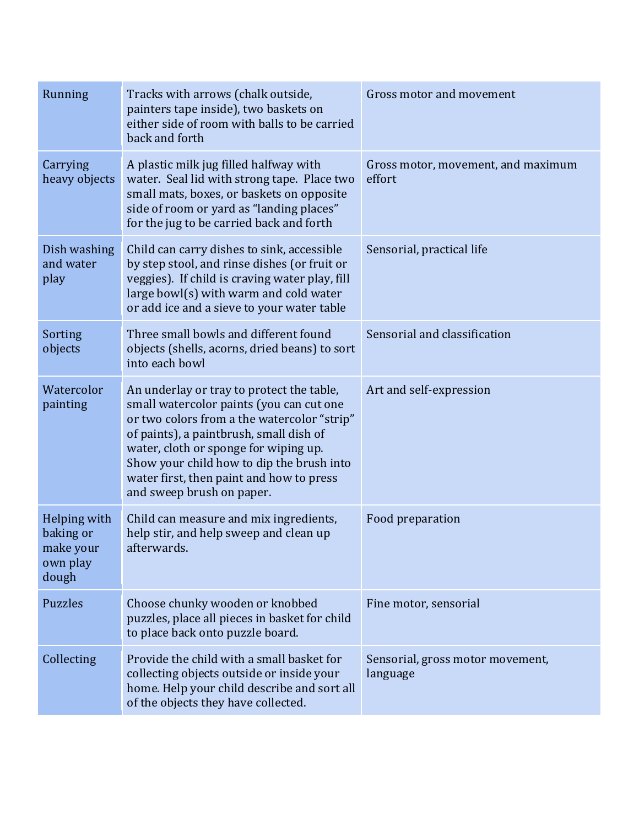| Running                                                     | Tracks with arrows (chalk outside,<br>painters tape inside), two baskets on<br>either side of room with balls to be carried<br>back and forth                                                                                                                                                                                                  | Gross motor and movement                     |
|-------------------------------------------------------------|------------------------------------------------------------------------------------------------------------------------------------------------------------------------------------------------------------------------------------------------------------------------------------------------------------------------------------------------|----------------------------------------------|
| Carrying<br>heavy objects                                   | A plastic milk jug filled halfway with<br>water. Seal lid with strong tape. Place two<br>small mats, boxes, or baskets on opposite<br>side of room or yard as "landing places"<br>for the jug to be carried back and forth                                                                                                                     | Gross motor, movement, and maximum<br>effort |
| Dish washing<br>and water<br>play                           | Child can carry dishes to sink, accessible<br>by step stool, and rinse dishes (or fruit or<br>veggies). If child is craving water play, fill<br>large bowl(s) with warm and cold water<br>or add ice and a sieve to your water table                                                                                                           | Sensorial, practical life                    |
| Sorting<br>objects                                          | Three small bowls and different found<br>objects (shells, acorns, dried beans) to sort<br>into each bowl                                                                                                                                                                                                                                       | Sensorial and classification                 |
| Watercolor<br>painting                                      | An underlay or tray to protect the table,<br>small watercolor paints (you can cut one<br>or two colors from a the watercolor "strip"<br>of paints), a paintbrush, small dish of<br>water, cloth or sponge for wiping up.<br>Show your child how to dip the brush into<br>water first, then paint and how to press<br>and sweep brush on paper. | Art and self-expression                      |
| Helping with<br>baking or<br>make your<br>own play<br>dough | Child can measure and mix ingredients,<br>help stir, and help sweep and clean up<br>afterwards.                                                                                                                                                                                                                                                | Food preparation                             |
| <b>Puzzles</b>                                              | Choose chunky wooden or knobbed<br>puzzles, place all pieces in basket for child<br>to place back onto puzzle board.                                                                                                                                                                                                                           | Fine motor, sensorial                        |
| Collecting                                                  | Provide the child with a small basket for<br>collecting objects outside or inside your<br>home. Help your child describe and sort all<br>of the objects they have collected.                                                                                                                                                                   | Sensorial, gross motor movement,<br>language |